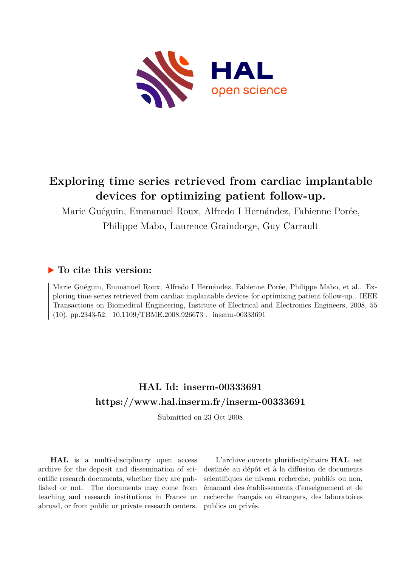

# **Exploring time series retrieved from cardiac implantable devices for optimizing patient follow-up.**

Marie Guéguin, Emmanuel Roux, Alfredo I Hernández, Fabienne Porée, Philippe Mabo, Laurence Graindorge, Guy Carrault

## **To cite this version:**

Marie Guéguin, Emmanuel Roux, Alfredo I Hernández, Fabienne Porée, Philippe Mabo, et al.. Exploring time series retrieved from cardiac implantable devices for optimizing patient follow-up.. IEEE Transactions on Biomedical Engineering, Institute of Electrical and Electronics Engineers, 2008, 55  $(10)$ , pp.2343-52.  $10.1109/TBME.2008.926673$ . inserm-00333691

## **HAL Id: inserm-00333691 <https://www.hal.inserm.fr/inserm-00333691>**

Submitted on 23 Oct 2008

**HAL** is a multi-disciplinary open access archive for the deposit and dissemination of scientific research documents, whether they are published or not. The documents may come from teaching and research institutions in France or abroad, or from public or private research centers.

L'archive ouverte pluridisciplinaire **HAL**, est destinée au dépôt et à la diffusion de documents scientifiques de niveau recherche, publiés ou non, émanant des établissements d'enseignement et de recherche français ou étrangers, des laboratoires publics ou privés.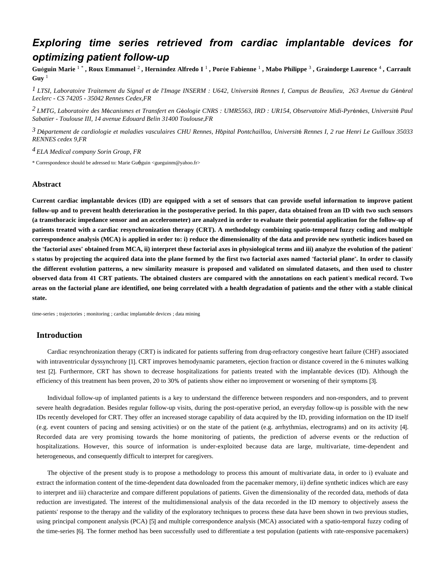## *Exploring time series retrieved from cardiac implantable devices for optimizing patient follow-up*

Guéguin Marie  $^{1\,*}$ , Roux Emmanuel  $^2$  , Hernández Alfredo I  $^1$  , Porée Fabienne  $^1$  , Mabo Philippe  $^3$  , Graindorge Laurence  $^4$  , Carrault  $G$ **uv**<sup>1</sup>

*LTSI, Laboratoire Traitement du Signal et de l'Image 1 INSERM : U642, Universit*é *Rennes I, Campus de Beaulieu, 263 Avenue du G*é*n*é*ral Leclerc - CS 74205 - 35042 Rennes Cedex,FR*

*LMTG, Laboratoire des M canismes et Transfert en G ologie 2* <sup>é</sup> <sup>é</sup> *CNRS : UMR5563, IRD : UR154, Observatoire Midi-Pyr*é*n*é*es, Universit*é *Paul Sabatier - Toulouse III, 14 avenue Edouard Belin 31400 Toulouse,FR*

*D partement de cardiologie et maladies vasculaires 3* <sup>é</sup> *CHU Rennes, H*ô*pital Pontchaillou, Universit*é *Rennes I, 2 rue Henri Le Guilloux 35033 RENNES cedex 9,FR*

*ELA Medical company 4 Sorin Group, FR*

\* Correspondence should be adressed to: Marie Guéguin <gueguinm@yahoo.fr>

#### **Abstract**

**Current cardiac implantable devices (ID) are equipped with a set of sensors that can provide useful information to improve patient follow-up and to prevent health deterioration in the postoperative period. In this paper, data obtained from an ID with two such sensors (a transthoracic impedance sensor and an accelerometer) are analyzed in order to evaluate their potential application for the follow-up of patients treated with a cardiac resynchronization therapy (CRT). A methodology combining spatio-temporal fuzzy coding and multiple correspondence analysis (MCA) is applied in order to: i) reduce the dimensionality of the data and provide new synthetic indices based on the** "**factorial axes**" **obtained from MCA, ii) interpret these factorial axes in physiological terms and iii) analyze the evolution of the patient**' **s status by projecting the acquired data into the plane formed by the first two factorial axes named** "**factorial plane**"**. In order to classify the different evolution patterns, a new similarity measure is proposed and validated on simulated datasets, and then used to cluster observed data from 41 CRT patients. The obtained clusters are compared with the annotations on each patient**'**s medical record. Two areas on the factorial plane are identified, one being correlated with a health degradation of patients and the other with a stable clinical state.**

time-series ; trajectories ; monitoring ; cardiac implantable devices ; data mining

## **Introduction**

Cardiac resynchronization therapy (CRT) is indicated for patients suffering from drug-refractory congestive heart failure (CHF) associated with intraventricular dyssynchrony [1]. CRT improves hemodynamic parameters, ejection fraction or distance covered in the 6 minutes walking test [2]. Furthermore, CRT has shown to decrease hospitalizations for patients treated with the implantable devices (ID). Although the efficiency of this treatment has been proven, 20 to 30% of patients show either no improvement or worsening of their symptoms [3].

Individual follow-up of implanted patients is a key to understand the difference between responders and non-responders, and to prevent severe health degradation. Besides regular follow-up visits, during the post-operative period, an everyday follow-up is possible with the new IDs recently developed for CRT. They offer an increased storage capability of data acquired by the ID, providing information on the ID itself (e.g. event counters of pacing and sensing activities) or on the state of the patient (e.g. arrhythmias, electrograms) and on its activity [4]. Recorded data are very promising towards the home monitoring of patients, the prediction of adverse events or the reduction of hospitalizations. However, this source of information is under-exploited because data are large, multivariate, time-dependent and heterogeneous, and consequently difficult to interpret for caregivers.

The objective of the present study is to propose a methodology to process this amount of multivariate data, in order to i) evaluate and extract the information content of the time-dependent data downloaded from the pacemaker memory, ii) define synthetic indices which are easy to interpret and iii) characterize and compare different populations of patients. Given the dimensionality of the recorded data, methods of data reduction are investigated. The interest of the multidimensional analysis of the data recorded in the ID memory to objectively assess the patients' response to the therapy and the validity of the exploratory techniques to process these data have been shown in two previous studies, using principal component analysis (PCA) [5] and multiple correspondence analysis (MCA) associated with a spatio-temporal fuzzy coding of the time-series [6]. The former method has been successfully used to differentiate a test population (patients with rate-responsive pacemakers)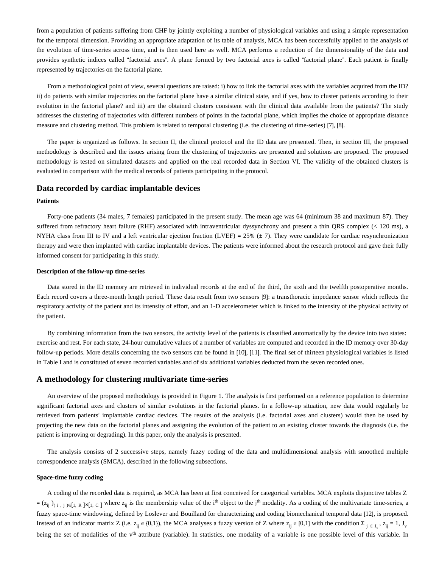from a population of patients suffering from CHF by jointly exploiting a number of physiological variables and using a simple representation for the temporal dimension. Providing an appropriate adaptation of its table of analysis, MCA has been successfully applied to the analysis of the evolution of time-series across time, and is then used here as well. MCA performs a reduction of the dimensionality of the data and provides synthetic indices called "factorial axes". A plane formed by two factorial axes is called "factorial plane". Each patient is finally represented by trajectories on the factorial plane.

From a methodological point of view, several questions are raised: i) how to link the factorial axes with the variables acquired from the ID? ii) do patients with similar trajectories on the factorial plane have a similar clinical state, and if yes, how to cluster patients according to their evolution in the factorial plane? and iii) are the obtained clusters consistent with the clinical data available from the patients? The study addresses the clustering of trajectories with different numbers of points in the factorial plane, which implies the choice of appropriate distance measure and clustering method. This problem is related to temporal clustering (i.e. the clustering of time-series) [7], [8].

The paper is organized as follows. In section II, the clinical protocol and the ID data are presented. Then, in section III, the proposed methodology is described and the issues arising from the clustering of trajectories are presented and solutions are proposed. The proposed methodology is tested on simulated datasets and applied on the real recorded data in Section VI. The validity of the obtained clusters is evaluated in comparison with the medical records of patients participating in the protocol.

## **Data recorded by cardiac implantable devices**

#### **Patients**

Forty-one patients (34 males, 7 females) participated in the present study. The mean age was 64 (minimum 38 and maximum 87). They suffered from refractory heart failure (RHF) associated with intraventricular dyssynchrony and present a thin QRS complex (< 120 ms), a NYHA class from III to IV and a left ventricular ejection fraction (LVEF) = 25% ( $\pm$  7). They were candidate for cardiac resynchronization therapy and were then implanted with cardiac implantable devices. The patients were informed about the research protocol and gave their fully informed consent for participating in this study.

#### **Description of the follow-up time-series**

Data stored in the ID memory are retrieved in individual records at the end of the third, the sixth and the twelfth postoperative months. Each record covers a three-month length period. These data result from two sensors [9]: a transthoracic impedance sensor which reflects the respiratory activity of the patient and its intensity of effort, and an 1-D accelerometer which is linked to the intensity of the physical activity of the patient.

By combining information from the two sensors, the activity level of the patients is classified automatically by the device into two states: exercise and rest. For each state, 24-hour cumulative values of a number of variables are computed and recorded in the ID memory over 30-day follow-up periods. More details concerning the two sensors can be found in [10], [11]. The final set of thirteen physiological variables is listed in Table I and is constituted of seven recorded variables and of six additional variables deducted from the seven recorded ones.

#### **A methodology for clustering multivariate time-series**

An overview of the proposed methodology is provided in Figure 1. The analysis is first performed on a reference population to determine significant factorial axes and clusters of similar evolutions in the factorial planes. In a follow-up situation, new data would regularly be retrieved from patients' implantable cardiac devices. The results of the analysis (i.e. factorial axes and clusters) would then be used by projecting the new data on the factorial planes and assigning the evolution of the patient to an existing cluster towards the diagnosis (i.e. the patient is improving or degrading). In this paper, only the analysis is presented.

The analysis consists of 2 successive steps, namely fuzzy coding of the data and multidimensional analysis with smoothed multiple correspondence analysis (SMCA), described in the following subsections.

#### **Space-time fuzzy coding**

A coding of the recorded data is required, as MCA has been at first conceived for categorical variables. MCA exploits disjunctive tables Z  $=(z_{ij})_{(i,j)}\in [1, R]$  ×[1, C] where  $z_{ij}$  is the membership value of the i<sup>th</sup> object to the j<sup>th</sup> modality. As a coding of the multivariate time-series, a fuzzy space-time windowing, defined by Loslever and Bouilland for characterizing and coding biomechanical temporal data [12], is proposed. Instead of an indicator matrix Z (i.e.  $z_{ij} \in \{0,1\}$ ), the MCA analyses a fuzzy version of Z where  $z_{ij} \in [0,1]$  with the condition  $\Sigma_{j} \in J_{\nu}$ ,  $z_{ij} = 1$ ,  $J_{\nu}$ being the set of modalities of the v<sup>th</sup> attribute (variable). In statistics, one modality of a variable is one possible level of this variable. In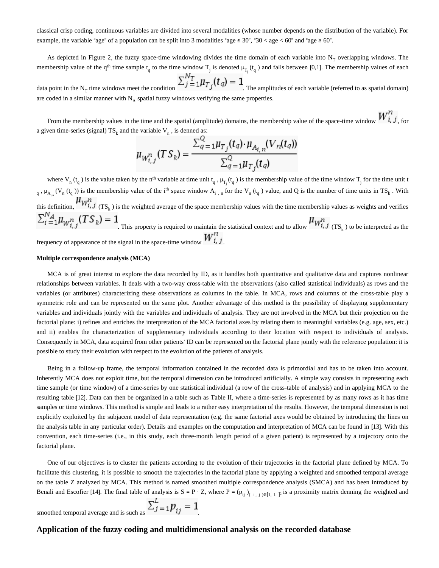classical crisp coding, continuous variables are divided into several modalities (whose number depends on the distribution of the variable). For example, the variable "age" of a population can be split into 3 modalities "age  $\leq 30$ ", "30  $\lt$  age  $\lt$  60" and "age  $\geq 60$ ".

As depicted in Figure 2, the fuzzy space-time windowing divides the time domain of each variable into  $N_T$  overlapping windows. The membership value of the q<sup>th</sup> time sample  $t_q$  to the time window  $T_j$  is denoted  $\mu_{T_j}(t_q)$  and falls between [0,1]. The membership values of each data point in the N<sub>T</sub> time windows meet the condition  $\sum_{j=1}^{N_T} \mu_{T_j}(t_q) = 1$ . The amplitudes of each variable (referred to as spatial domain) are coded in a similar manner with  $N_A$  spatial fuzzy windows verifying the same properties.

From the membership values in the time and the spatial (amplitude) domains, the membership value of the space-time window  $W_{i,j}^n$  for a given time-series (signal)  $TS_k$  and the variable  $V_n$ , is denned as:

$$
\mu_{W_{i,j}^n}(TS_k) = \frac{\sum_{q=1}^{Q} \mu_{T_j}(t_q) \cdot \mu_{A_{i,n}}(V_n(t_q))}{\sum_{q=1}^{Q} \mu_{T_j}(t_q)}
$$

where  $V_n(t_q)$  is the value taken by the n<sup>th</sup> variable at time unit  $t_q$ ,  $\mu_{T_j}(t_q)$  is the membership value of the time window  $T_j$  for the time unit t  $_{q}$ ,  $\mu_{A_{i,n}}(V_n(t_q))$  is the membership value of the i<sup>th</sup> space window  $A_{i,n}$  for the  $V_n(t_q)$  value, and Q is the number of time units in TS<sub>k</sub>. With this definition,  $\mu_{W_{i,j}^n}^n$  (TS<sub>k</sub>) is the weighted average of the space membership values with the time membership values as weights and verifies  $\sum_{i=1}^{N_A} \mu_{W_{i,j}^n}(TS_k) = 1$ . This property is required to maintain the statistical context and to allow  $\mu_{W_{i,j}^n(TS_k)}$  to be interpreted as the frequency of appearance of the signal in the space-time window  $W_{i,j}^n$ .

## **Multiple correspondence analysis (MCA)**

MCA is of great interest to explore the data recorded by ID, as it handles both quantitative and qualitative data and captures nonlinear relationships between variables. It deals with a two-way cross-table with the observations (also called statistical individuals) as rows and the variables (or attributes) characterizing these observations as columns in the table. In MCA, rows and columns of the cross-table play a symmetric role and can be represented on the same plot. Another advantage of this method is the possibility of displaying supplementary variables and individuals jointly with the variables and individuals of analysis. They are not involved in the MCA but their projection on the factorial plane: i) refines and enriches the interpretation of the MCA factorial axes by relating them to meaningful variables (e.g. age, sex, etc.) and ii) enables the characterization of supplementary individuals according to their location with respect to individuals of analysis. Consequently in MCA, data acquired from other patients' ID can be represented on the factorial plane jointly with the reference population: it is possible to study their evolution with respect to the evolution of the patients of analysis.

Being in a follow-up frame, the temporal information contained in the recorded data is primordial and has to be taken into account. Inherently MCA does not exploit time, but the temporal dimension can be introduced artificially. A simple way consists in representing each time sample (or time window) of a time-series by one statistical individual (a row of the cross-table of analysis) and in applying MCA to the resulting table [12]. Data can then be organized in a table such as Table II, where a time-series is represented by as many rows as it has time samples or time windows. This method is simple and leads to a rather easy interpretation of the results. However, the temporal dimension is not explicitly exploited by the subjacent model of data representation (e.g. the same factorial axes would be obtained by introducing the lines on the analysis table in any particular order). Details and examples on the computation and interpretation of MCA can be found in [13]. With this convention, each time-series (i.e., in this study, each three-month length period of a given patient) is represented by a trajectory onto the factorial plane.

One of our objectives is to cluster the patients according to the evolution of their trajectories in the factorial plane defined by MCA. To facilitate this clustering, it is possible to smooth the trajectories in the factorial plane by applying a weighted and smoothed temporal average on the table Z analyzed by MCA. This method is named smoothed multiple correspondence analysis (SMCA) and has been introduced by Benali and Escofier [14]. The final table of analysis is  $S = P \cdot Z$ , where  $P = (p_{ij})_{(i,j)} \in [1, L]^2$  is a proximity matrix denning the weighted and

smoothed temporal average and is such as  $\sum_{j=1}^{L} p_{ij} = 1$ 

## **Application of the fuzzy coding and multidimensional analysis on the recorded database**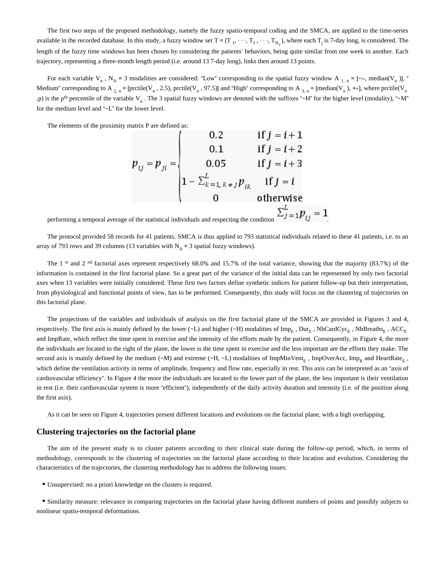The first two steps of the proposed methodology, namely the fuzzy spatio-temporal coding and the SMCA, are applied to the time-series available in the recorded database. In this study, a fuzzy window set  $T = \{T_1, \dots, T_J, \dots, T_{N_T}\}$ , where each  $T_j$  is 7-day long, is considered. The length of the fuzzy time windows has been chosen by considering the patients' behaviors, being quite similar from one week to another. Each trajectory, representing a three-month length period (i.e. around 13 7-day long), links then around 13 points.

For each variable V<sub>n</sub>, N<sub>A</sub> = 3 modalities are considered: "Low" corresponding to the spatial fuzzy window A<sub>1, n</sub> = [-∞, median(V<sub>n</sub>)], " Medium" corresponding to A <sub>2, n</sub> = [prctile( $V_n$ , 2.5), prctile( $V_n$ , 97.5)] and "High" corresponding to A <sub>3, n</sub> = [median( $V_n$ ), +∞], where prctile( $V_n$ ,p) is the p<sup>th</sup> percentile of the variable  $V_n$ . The 3 spatial fuzzy windows are denoted with the suffixes "-H" for the higher level (modality), "-M" for the medium level and "−L" for the lower level.

The elements of the proximity matrix P are defined as:

$$
p_{ij} = p_{ji} = \begin{cases} 0.2 & \text{if } j = i + 1 \\ 0.1 & \text{if } j = i + 2 \\ 0.05 & \text{if } j = i + 3 \\ 1 - \sum_{k=1, k \neq j}^{L} p_{ik} & \text{if } j = i \\ 0 & \text{otherwise} \end{cases}
$$
\n
$$
\text{performing a temporal average of the statistical individuals and respectively the condition } \sum_{j=1}^{L} p_{ij} = 1
$$

The protocol provided 58 records for 41 patients. SMCA is thus applied to 793 statistical individuals related to these 41 patients, i.e. to an array of 793 rows and 39 columns (13 variables with  $N_A = 3$  spatial fuzzy windows).

The 1  $st$  and 2  $nd$  factorial axes represent respectively 68.0% and 15.7% of the total variance, showing that the majority (83.7%) of the information is contained in the first factorial plane. So a great part of the variance of the initial data can be represented by only two factorial axes when 13 variables were initially considered. These first two factors define synthetic indices for patient follow-up but their interpretation, from physiological and functional points of view, has to be performed. Consequently, this study will focus on the clustering of trajectories on this factorial plane.

The projections of the variables and individuals of analysis on the first factorial plane of the SMCA are provided in Figures 3 and 4, respectively. The first axis is mainly defined by the lower (−L) and higher (−H) modalities of Imp<sub>E</sub>,  $Dur_E$ ,  $Dur_E$ , NbCardCyc<sub>E</sub>, NbBreaths<sub>E</sub>, ACC<sub>E</sub> and ImpRate, which reflect the time spent in exercise and the intensity of the efforts made by the patient. Consequently, in Figure 4, the more the individuals are located to the right of the plane, the lower is the time spent in exercise and the less important are the efforts they make. The second axis is mainly defined by the medium (−M) and extreme (−H, −L) modalities of ImpMinVent<sub>E</sub>, ImpOverAcc, Imp<sub>R</sub> and HeartRate<sub>E</sub>, which define the ventilation activity in terms of amplitude, frequency and flow rate, especially in rest. This axis can be interpreted as an "axis of cardiovascular efficiency". In Figure 4 the more the individuals are located to the lower part of the plane, the less important is their ventilation in rest (i.e. their cardiovascular system is more "efficient"), independently of the daily activity duration and intensity (i.e. of the position along the first axis).

As it can be seen on Figure 4, trajectories present different locations and evolutions on the factorial plane, with a high overlapping.

## **Clustering trajectories on the factorial plane**

The aim of the present study is to cluster patients according to their clinical state during the follow-up period, which, in terms of methodology, corresponds to the clustering of trajectories on the factorial plane according to their location and evolution. Considering the characteristics of the trajectories, the clustering methodology has to address the following issues:

Unsupervised: no a priori knowledge on the clusters is required.

Similarity measure: relevance in comparing trajectories on the factorial plane having different numbers of points and possibly subjects to nonlinear spatio-temporal deformations.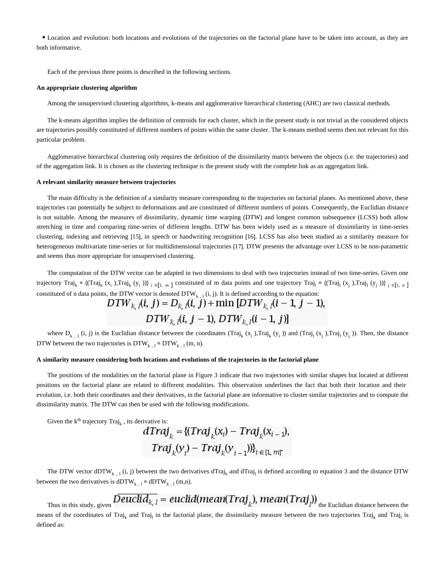Location and evolution: both locations and evolutions of the trajectories on the factorial plane have to be taken into account, as they are both informative.

Each of the previous three points is described in the following sections.

#### **An appropriate clustering algorithm**

Among the unsupervised clustering algorithms, k-means and agglomerative hierarchical clustering (AHC) are two classical methods.

The k-means algorithm implies the definition of centroids for each cluster, which in the present study is not trivial as the considered objects are trajectories possibly constituted of different numbers of points within the same cluster. The k-means method seems then not relevant for this particular problem.

Agglomerative hierarchical clustering only requires the definition of the dissimilarity matrix between the objects (i.e. the trajectories) and of the aggregation link. It is chosen as the clustering technique is the present study with the complete link as an aggregation link.

#### **A relevant similarity measure between trajectories**

The main difficulty is the definition of a similarity measure corresponding to the trajectories on factorial planes. As mentioned above, these trajectories can potentially be subject to deformations and are constituted of different numbers of points. Consequently, the Euclidian distance is not suitable. Among the measures of dissimilarity, dynamic time warping (DTW) and longest common subsequence (LCSS) both allow stretching in time and comparing time-series of different lengths. DTW has been widely used as a measure of dissimilarity in time-series clustering, indexing and retrieving [15], in speech or handwriting recognition [16]. LCSS has also been studied as a similarity measure for heterogeneous multivariate time-series or for multidimensional trajectories [17]. DTW presents the advantage over LCSS to be non-parametric and seems thus more appropriate for unsupervised clustering.

The computation of the DTW vector can be adapted in two dimensions to deal with two trajectories instead of two time-series. Given one trajectory Traj<sub>k</sub> = {(Traj<sub>k</sub> (x<sub>i</sub>),Traj<sub>k</sub> (y<sub>i</sub>))} <sub>i ∈[1, m]</sub> constituted of m data points and one trajectory Traj<sub>1</sub> = {(Traj<sub>1</sub> (x<sub>j</sub>),Traj<sub>1</sub> (y<sub>j</sub>))} <sub>j ∈[1, n]</sub> constituted of n data points, the DTW vector is denoted  $DTW_{k, 1}(i, j)$ . It is defined according to the equation:

$$
DTW_{k, l}(i, j) = D_{k, l}(i, j) + \min [DTW_{k, l}(i - 1, j - 1)],
$$
  

$$
DTW_{k, l}(i, j - 1), DTW_{k, l}(i - 1, j)]
$$

where  $D_{k,1}$  (i, j) is the Euclidian distance between the coordinates (Traj<sub>k</sub> (x<sub>i</sub>), Traj<sub>k</sub> (y<sub>i</sub>)} and (Traj<sub>l</sub> (x<sub>j</sub>), Traj<sub>l</sub> (y<sub>j</sub>)). Then, the distance DTW between the two trajectories is  $DTW_{k, 1} = DTW_{k, 1}$  (m, n).

#### **A similarity measure considering both locations and evolutions of the trajectories in the factorial plane**

The positions of the modalities on the factorial plane in Figure 3 indicate that two trajectories with similar shapes but located at different positions on the factorial plane are related to different modalities. This observation underlines the fact that both their location and their evolution, i.e. both their coordinates and their derivatives, in the factorial plane are informative to cluster similar trajectories and to compute the dissimilarity matrix. The DTW can then be used with the following modifications.

Given the k<sup>th</sup> trajectory  $\text{Traj}_k$ , its derivative is:

$$
dTraj_{k} = \{ (Traj_{k}(x_{i}) - Traj_{k}(x_{i-1}),
$$
  
\n
$$
Traj_{k}(y_{i}) - Traj_{k}(y_{i-1})) \}_{i \in [1, m]}
$$

The DTW vector dDTW<sub>k, 1</sub> (i, j) between the two derivatives dTraj<sub>k</sub> and dTraj<sub>l</sub> is defined according to equation 3 and the distance DTW between the two derivatives is  $\text{dDTW}_{k,1} = \text{dDTW}_{k,1}$  (m,n).

Thus in this study, given 
$$
\overline{Deuclid_{k,l}}
$$
 = euclid(mean(Traj<sub>k</sub>), mean(Traj<sub>l</sub>))<sub>the Euclidean distance between the</sub>

means of the coordinates of Traj<sub>k</sub> and Traj<sub>l</sub> in the factorial plane, the dissimilarity measure between the two trajectories Traj<sub>k</sub> and Traj<sub>l</sub> is defined as: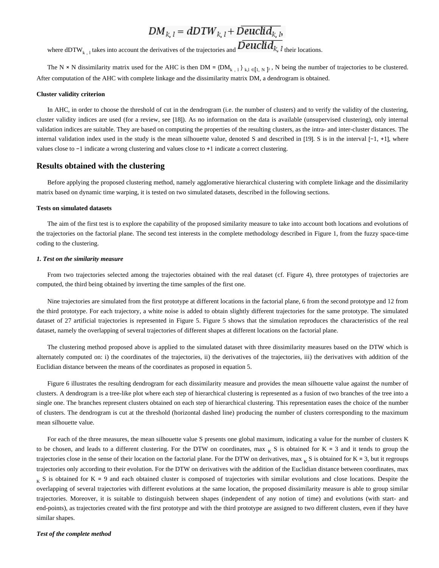## $DM_{k,l} = dDTW_{k,l} + \overline{Deuclid_{k,l}}$

where dDTW<sub>k, 1</sub> takes into account the derivatives of the trajectories and  $\overline{Deuclid}_{k, l}$  their locations.

The N × N dissimilarity matrix used for the AHC is then DM =  ${DM_{k, 1}}_{k, l \in [1, N]^2}$ , N being the number of trajectories to be clustered. After computation of the AHC with complete linkage and the dissimilarity matrix DM, a dendrogram is obtained.

#### **Cluster validity criterion**

In AHC, in order to choose the threshold of cut in the dendrogram (i.e. the number of clusters) and to verify the validity of the clustering, cluster validity indices are used (for a review, see [18]). As no information on the data is available (unsupervised clustering), only internal validation indices are suitable. They are based on computing the properties of the resulting clusters, as the intra- and inter-cluster distances. The internal validation index used in the study is the mean silhouette value, denoted S and described in [19]. S is in the interval [−1, +1], where values close to −1 indicate a wrong clustering and values close to +1 indicate a correct clustering.

#### **Results obtained with the clustering**

Before applying the proposed clustering method, namely agglomerative hierarchical clustering with complete linkage and the dissimilarity matrix based on dynamic time warping, it is tested on two simulated datasets, described in the following sections.

#### **Tests on simulated datasets**

The aim of the first test is to explore the capability of the proposed similarity measure to take into account both locations and evolutions of the trajectories on the factorial plane. The second test interests in the complete methodology described in Figure 1, from the fuzzy space-time coding to the clustering.

#### *1. Test on the similarity measure*

From two trajectories selected among the trajectories obtained with the real dataset (cf. Figure 4), three prototypes of trajectories are computed, the third being obtained by inverting the time samples of the first one.

Nine trajectories are simulated from the first prototype at different locations in the factorial plane, 6 from the second prototype and 12 from the third prototype. For each trajectory, a white noise is added to obtain slightly different trajectories for the same prototype. The simulated dataset of 27 artificial trajectories is represented in Figure 5. Figure 5 shows that the simulation reproduces the characteristics of the real dataset, namely the overlapping of several trajectories of different shapes at different locations on the factorial plane.

The clustering method proposed above is applied to the simulated dataset with three dissimilarity measures based on the DTW which is alternately computed on: i) the coordinates of the trajectories, ii) the derivatives of the trajectories, iii) the derivatives with addition of the Euclidian distance between the means of the coordinates as proposed in equation 5.

Figure 6 illustrates the resulting dendrogram for each dissimilarity measure and provides the mean silhouette value against the number of clusters. A dendrogram is a tree-like plot where each step of hierarchical clustering is represented as a fusion of two branches of the tree into a single one. The branches represent clusters obtained on each step of hierarchical clustering. This representation eases the choice of the number of clusters. The dendrogram is cut at the threshold (horizontal dashed line) producing the number of clusters corresponding to the maximum mean silhouette value.

For each of the three measures, the mean silhouette value S presents one global maximum, indicating a value for the number of clusters K to be chosen, and leads to a different clustering. For the DTW on coordinates, max  $_K S$  is obtained for  $K = 3$  and it tends to group the trajectories close in the sense of their location on the factorial plane. For the DTW on derivatives, max  $_K S$  is obtained for  $K = 3$ , but it regroups trajectories only according to their evolution. For the DTW on derivatives with the addition of the Euclidian distance between coordinates, max  $_K$  S is obtained for K = 9 and each obtained cluster is composed of trajectories with similar evolutions and close locations. Despite the overlapping of several trajectories with different evolutions at the same location, the proposed dissimilarity measure is able to group similar trajectories. Moreover, it is suitable to distinguish between shapes (independent of any notion of time) and evolutions (with start- and end-points), as trajectories created with the first prototype and with the third prototype are assigned to two different clusters, even if they have similar shapes.

#### *Test of the complete method*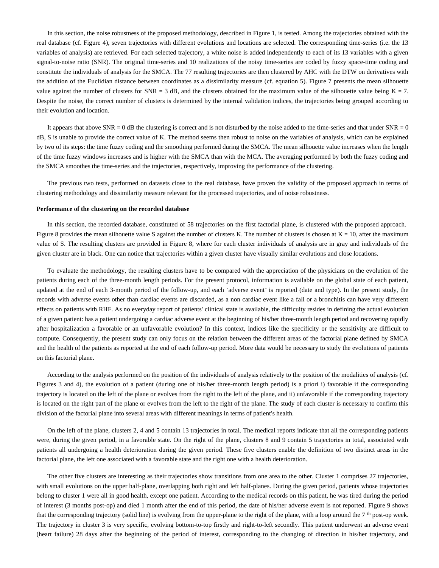In this section, the noise robustness of the proposed methodology, described in Figure 1, is tested. Among the trajectories obtained with the real database (cf. Figure 4), seven trajectories with different evolutions and locations are selected. The corresponding time-series (i.e. the 13 variables of analysis) are retrieved. For each selected trajectory, a white noise is added independently to each of its 13 variables with a given signal-to-noise ratio (SNR). The original time-series and 10 realizations of the noisy time-series are coded by fuzzy space-time coding and constitute the individuals of analysis for the SMCA. The 77 resulting trajectories are then clustered by AHC with the DTW on derivatives with the addition of the Euclidian distance between coordinates as a dissimilarity measure (cf. equation 5). Figure 7 presents the mean silhouette value against the number of clusters for  $SNR = 3$  dB, and the clusters obtained for the maximum value of the silhouette value being  $K = 7$ . Despite the noise, the correct number of clusters is determined by the internal validation indices, the trajectories being grouped according to their evolution and location.

It appears that above SNR = 0 dB the clustering is correct and is not disturbed by the noise added to the time-series and that under SNR = 0 dB, S is unable to provide the correct value of K. The method seems then robust to noise on the variables of analysis, which can be explained by two of its steps: the time fuzzy coding and the smoothing performed during the SMCA. The mean silhouette value increases when the length of the time fuzzy windows increases and is higher with the SMCA than with the MCA. The averaging performed by both the fuzzy coding and the SMCA smoothes the time-series and the trajectories, respectively, improving the performance of the clustering.

The previous two tests, performed on datasets close to the real database, have proven the validity of the proposed approach in terms of clustering methodology and dissimilarity measure relevant for the processed trajectories, and of noise robustness.

#### **Performance of the clustering on the recorded database**

In this section, the recorded database, constituted of 58 trajectories on the first factorial plane, is clustered with the proposed approach. Figure 8 provides the mean silhouette value S against the number of clusters K. The number of clusters is chosen at  $K = 10$ , after the maximum value of S. The resulting clusters are provided in Figure 8, where for each cluster individuals of analysis are in gray and individuals of the given cluster are in black. One can notice that trajectories within a given cluster have visually similar evolutions and close locations.

To evaluate the methodology, the resulting clusters have to be compared with the appreciation of the physicians on the evolution of the patients during each of the three-month length periods. For the present protocol, information is available on the global state of each patient, updated at the end of each 3-month period of the follow-up, and each "adverse event" is reported (date and type). In the present study, the records with adverse events other than cardiac events are discarded, as a non cardiac event like a fall or a bronchitis can have very different effects on patients with RHF. As no everyday report of patients' clinical state is available, the difficulty resides in defining the actual evolution of a given patient: has a patient undergoing a cardiac adverse event at the beginning of his/her three-month length period and recovering rapidly after hospitalization a favorable or an unfavorable evolution? In this context, indices like the specificity or the sensitivity are difficult to compute. Consequently, the present study can only focus on the relation between the different areas of the factorial plane defined by SMCA and the health of the patients as reported at the end of each follow-up period. More data would be necessary to study the evolutions of patients on this factorial plane.

According to the analysis performed on the position of the individuals of analysis relatively to the position of the modalities of analysis (cf. Figures 3 and 4), the evolution of a patient (during one of his/her three-month length period) is a priori i) favorable if the corresponding trajectory is located on the left of the plane or evolves from the right to the left of the plane, and ii) unfavorable if the corresponding trajectory is located on the right part of the plane or evolves from the left to the right of the plane. The study of each cluster is necessary to confirm this division of the factorial plane into several areas with different meanings in terms of patient's health.

On the left of the plane, clusters 2, 4 and 5 contain 13 trajectories in total. The medical reports indicate that all the corresponding patients were, during the given period, in a favorable state. On the right of the plane, clusters 8 and 9 contain 5 trajectories in total, associated with patients all undergoing a health deterioration during the given period. These five clusters enable the definition of two distinct areas in the factorial plane, the left one associated with a favorable state and the right one with a health deterioration.

The other five clusters are interesting as their trajectories show transitions from one area to the other. Cluster 1 comprises 27 trajectories, with small evolutions on the upper half-plane, overlapping both right and left half-planes. During the given period, patients whose trajectories belong to cluster 1 were all in good health, except one patient. According to the medical records on this patient, he was tired during the period of interest (3 months post-op) and died 1 month after the end of this period, the date of his/her adverse event is not reported. Figure 9 shows that the corresponding trajectory (solid line) is evolving from the upper-plane to the right of the plane, with a loop around the  $7<sup>th</sup>$  post-op week. The trajectory in cluster 3 is very specific, evolving bottom-to-top firstly and right-to-left secondly. This patient underwent an adverse event (heart failure) 28 days after the beginning of the period of interest, corresponding to the changing of direction in his/her trajectory, and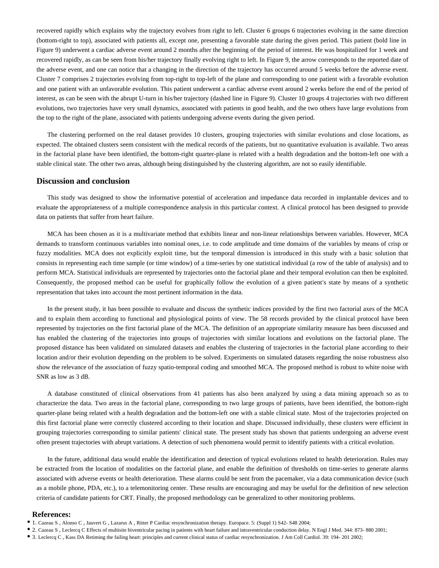recovered rapidly which explains why the trajectory evolves from right to left. Cluster 6 groups 6 trajectories evolving in the same direction (bottom-right to top), associated with patients all, except one, presenting a favorable state during the given period. This patient (bold line in Figure 9) underwent a cardiac adverse event around 2 months after the beginning of the period of interest. He was hospitalized for 1 week and recovered rapidly, as can be seen from his/her trajectory finally evolving right to left. In Figure 9, the arrow corresponds to the reported date of the adverse event, and one can notice that a changing in the direction of the trajectory has occurred around 5 weeks before the adverse event. Cluster 7 comprises 2 trajectories evolving from top-right to top-left of the plane and corresponding to one patient with a favorable evolution and one patient with an unfavorable evolution. This patient underwent a cardiac adverse event around 2 weeks before the end of the period of interest, as can be seen with the abrupt U-turn in his/her trajectory (dashed line in Figure 9). Cluster 10 groups 4 trajectories with two different evolutions, two trajectories have very small dynamics, associated with patients in good health, and the two others have large evolutions from the top to the right of the plane, associated with patients undergoing adverse events during the given period.

The clustering performed on the real dataset provides 10 clusters, grouping trajectories with similar evolutions and close locations, as expected. The obtained clusters seem consistent with the medical records of the patients, but no quantitative evaluation is available. Two areas in the factorial plane have been identified, the bottom-right quarter-plane is related with a health degradation and the bottom-left one with a stable clinical state. The other two areas, although being distinguished by the clustering algorithm, are not so easily identifiable.

## **Discussion and conclusion**

This study was designed to show the informative potential of acceleration and impedance data recorded in implantable devices and to evaluate the appropriateness of a multiple correspondence analysis in this particular context. A clinical protocol has been designed to provide data on patients that suffer from heart failure.

MCA has been chosen as it is a multivariate method that exhibits linear and non-linear relationships between variables. However, MCA demands to transform continuous variables into nominal ones, i.e. to code amplitude and time domains of the variables by means of crisp or fuzzy modalities. MCA does not explicitly exploit time, but the temporal dimension is introduced in this study with a basic solution that consists in representing each time sample (or time window) of a time-series by one statistical individual (a row of the table of analysis) and to perform MCA. Statistical individuals are represented by trajectories onto the factorial plane and their temporal evolution can then be exploited. Consequently, the proposed method can be useful for graphically follow the evolution of a given patient's state by means of a synthetic representation that takes into account the most pertinent information in the data.

In the present study, it has been possible to evaluate and discuss the synthetic indices provided by the first two factorial axes of the MCA and to explain them according to functional and physiological points of view. The 58 records provided by the clinical protocol have been represented by trajectories on the first factorial plane of the MCA. The definition of an appropriate similarity measure has been discussed and has enabled the clustering of the trajectories into groups of trajectories with similar locations and evolutions on the factorial plane. The proposed distance has been validated on simulated datasets and enables the clustering of trajectories in the factorial plane according to their location and/or their evolution depending on the problem to be solved. Experiments on simulated datasets regarding the noise robustness also show the relevance of the association of fuzzy spatio-temporal coding and smoothed MCA. The proposed method is robust to white noise with SNR as low as 3 dB.

A database constituted of clinical observations from 41 patients has also been analyzed by using a data mining approach so as to characterize the data. Two areas in the factorial plane, corresponding to two large groups of patients, have been identified, the bottom-right quarter-plane being related with a health degradation and the bottom-left one with a stable clinical state. Most of the trajectories projected on this first factorial plane were correctly clustered according to their location and shape. Discussed individually, these clusters were efficient in grouping trajectories corresponding to similar patients' clinical state. The present study has shown that patients undergoing an adverse event often present trajectories with abrupt variations. A detection of such phenomena would permit to identify patients with a critical evolution.

In the future, additional data would enable the identification and detection of typical evolutions related to health deterioration. Rules may be extracted from the location of modalities on the factorial plane, and enable the definition of thresholds on time-series to generate alarms associated with adverse events or health deterioration. These alarms could be sent from the pacemaker, via a data communication device (such as a mobile phone, PDA, etc.), to a telemonitoring center. These results are encouraging and may be useful for the definition of new selection criteria of candidate patients for CRT. Finally, the proposed methodology can be generalized to other monitoring problems.

#### **References:**

- 1. Cazeau S , Alonso C , Jauvert G , Lazarus A , Ritter P Cardiac resynchronization therapy. Europace. 5: (Suppl 1) S42- S48 2004;
- 2. Cazeau S , Leclercq C Effects of multisite biventricular pacing in patients with heart failure and intraventricular conduction delay. N Engl J Med. 344: 873- 880 2001;
- 3. Leclercq C , Kass DA Retiming the failing heart: principles and current clinical status of cardiac resynchronization. J Am Coll Cardiol. 39: 194- 201 2002;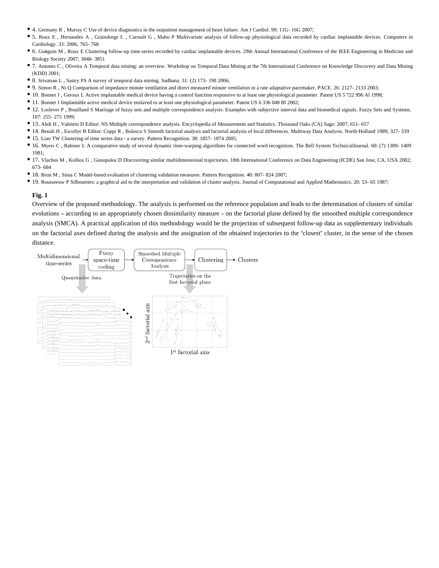- 4. Germany R , Murray C Use of device diagnostics in the outpatient management of heart failure. Am J Cardiol. 99: 11G- 16G 2007;
- 5. Roux E , Hernandez A , Graindorge L , Carrault G , Mabo P Multivariate analysis of follow-up physiological data recorded by cardiac implantable devices. Computers in Cardiology. 33: 2006; 765- 768
- 6. Guéguin M , Roux E Clustering follow-up time-series recorded by cardiac implantable devices. 29th Annual International Conference of the IEEE Engineering in Medicine and Biology Society 2007; 3848- 3851
- 7. Antunes C , Oliveira A Temporal data mining: an overview. Workshop on Temporal Data Mining at the 7th International Conference on Knowledge Discovery and Data Mining (KDD) 2001;
- 8. Srivatsan L , Sastry PS A survey of temporal data mining. Sadhana. 31: (2) 173- 198 2006;
- 9. Simon R , Ni Q Comparison of impedance minute ventilation and direct measured minute ventilation in a rate adaptative pacemaker. PACE. 26: 2127- 2133 2003;
- 10. Bonnet J , Geroux L Active implantable medical device having a control function responsive to at least one physiological parameter. Patent US 5 722 996 Al 1998;
- 11. Bonnet J Implantable active medical device enslaved to at least one physiological parameter. Patent US 6 336 048 Bl 2002;
- 12. Loslever P , Bouilland S Marriage of fuzzy sets and multiple correspondence analysis: Examples with subjective interval data and biomedical signals. Fuzzy Sets and Systems. 107: 255- 275 1999;
- 13. Abdi H , Valentin D Editor: NS Multiple correspondence analysis. Encyclopedia of Measurement and Statistics. Thousand Oaks (CA) Sage; 2007; 651- 657
- 14. Benali H , Escofier B Editor: Coppi R , Bolasco S Smooth factorial analysis and factorial analysis of local differences. Multiway Data Analysis. North-Holland 1989; 327- 339
- 15. Liao TW Clustering of time series data a survey. Pattern Recognition. 38: 1857- 1874 2005;
- 16. Myers C , Rabiner L A comparative study of several dynamic time-warping algorithms for connected word recognition. The Bell System TechnicalJournal. 60: (7) 1389- 1409 1981;
- 17. Vlachos M , Kollios G , Gunopulos D Discovering similar multidimensional trajectories. 18th International Conference on Data Engineering (ICDE) San Jose, CA, USA 2002; 673- 684
- 18. Brun M , Sima C Model-based evaluation of clustering validation measures. Pattern Recognition. 40: 807- 824 2007;
- 19. Rousseeuw P Silhouettes: a graphical aid to the interpretation and validation of cluster analysis. Journal of Computational and Applied Mathematics. 20: 53- 65 1987;

Overview of the proposed methodology. The analysis is performed on the reference population and leads to the determination of clusters of similar evolutions – according to an appropriately chosen dissimilarity measure – on the factorial plane defined by the smoothed multiple correspondence analysis (SMCA). A practical application of this methodology would be the projection of subsequent follow-up data as supplementary individuals on the factorial axes defined during the analysis and the assignation of the obtained trajectories to the "closest" cluster, in the sense of the chosen distance.

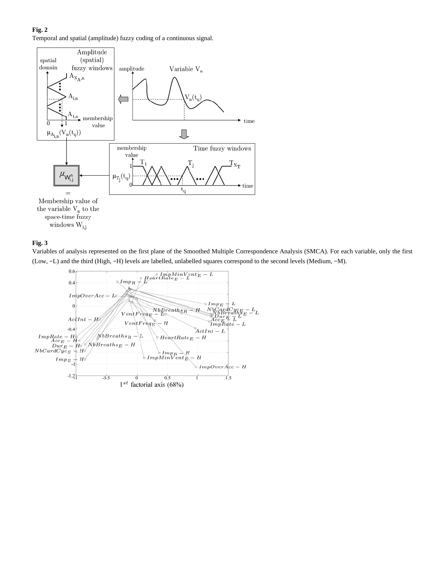## **Fig. 2** Temporal and spatial (amplitude) fuzzy coding of a continuous signal.



## **Fig. 3**

Variables of analysis represented on the first plane of the Smoothed Multiple Correspondence Analysis (SMCA). For each variable, only the first (Low, −L) and the third (High, −H) levels are labelled, unlabelled squares correspond to the second levels (Medium, −M).

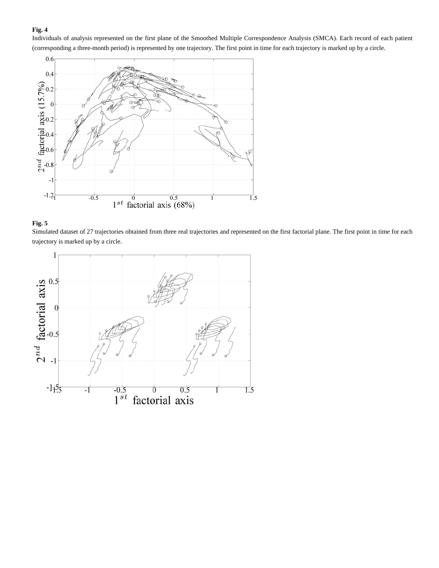Individuals of analysis represented on the first plane of the Smoothed Multiple Correspondence Analysis (SMCA). Each record of each patient (corresponding a three-month period) is represented by one trajectory. The first point in time for each trajectory is marked up by a circle.





Simulated dataset of 27 trajectories obtained from three real trajectories and represented on the first factorial plane. The first point in time for each trajectory is marked up by a circle.

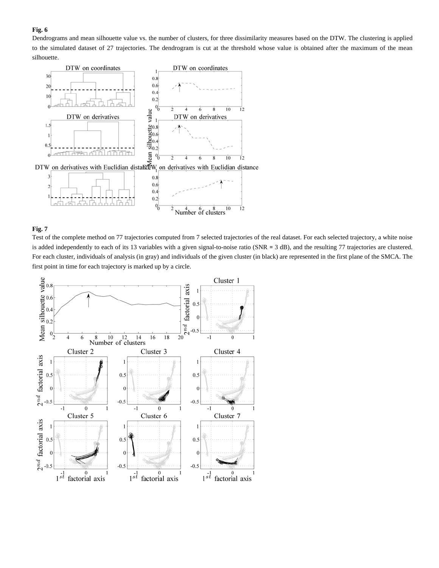Dendrograms and mean silhouette value vs. the number of clusters, for three dissimilarity measures based on the DTW. The clustering is applied to the simulated dataset of 27 trajectories. The dendrogram is cut at the threshold whose value is obtained after the maximum of the mean silhouette.



#### **Fig. 7**

Test of the complete method on 77 trajectories computed from 7 selected trajectories of the real dataset. For each selected trajectory, a white noise is added independently to each of its 13 variables with a given signal-to-noise ratio (SNR = 3 dB), and the resulting 77 trajectories are clustered. For each cluster, individuals of analysis (in gray) and individuals of the given cluster (in black) are represented in the first plane of the SMCA. The first point in time for each trajectory is marked up by a circle.

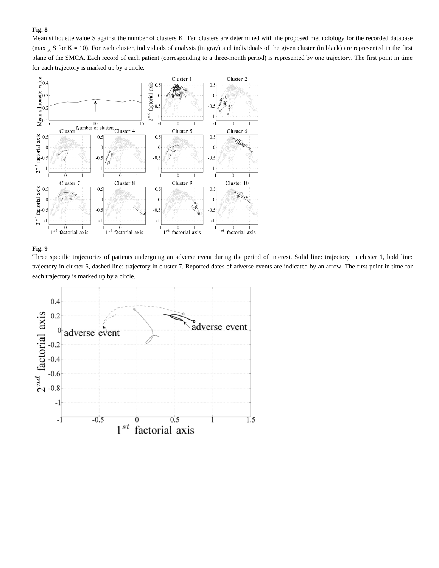Mean silhouette value S against the number of clusters K. Ten clusters are determined with the proposed methodology for the recorded database (max  $_K$  S for K = 10). For each cluster, individuals of analysis (in gray) and individuals of the given cluster (in black) are represented in the first plane of the SMCA. Each record of each patient (corresponding to a three-month period) is represented by one trajectory. The first point in time for each trajectory is marked up by a circle.



## **Fig. 9**

Three specific trajectories of patients undergoing an adverse event during the period of interest. Solid line: trajectory in cluster 1, bold line: trajectory in cluster 6, dashed line: trajectory in cluster 7. Reported dates of adverse events are indicated by an arrow. The first point in time for each trajectory is marked up by a circle.

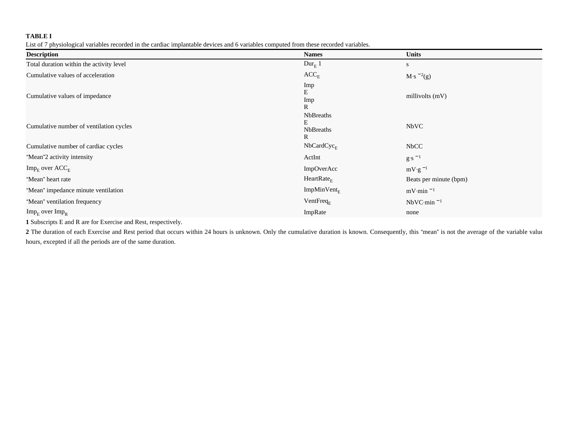## **TABLE I**

List of 7 physiological variables recorded in the cardiac implantable devices and 6 variables computed from these recorded variables.

| <b>Description</b>                                   | <b>Names</b>                            | <b>Units</b>             |
|------------------------------------------------------|-----------------------------------------|--------------------------|
| Total duration within the activity level             | $Dur_E 1$                               | S                        |
| Cumulative values of acceleration                    | $ACC_E$                                 | $M \cdot s^{-2}(g)$      |
| Cumulative values of impedance                       | Imp<br>E<br>Imp<br>R                    | millivolts $(mV)$        |
| Cumulative number of ventilation cycles              | <b>NbBreaths</b><br>E<br>NbBreaths<br>R | <b>NbVC</b>              |
| Cumulative number of cardiac cycles                  | NbCardCyc <sub>E</sub>                  | <b>NbCC</b>              |
| "Mean"2 activity intensity                           | ActInt                                  | $g\cdot s$ <sup>-1</sup> |
| $\text{Imp}_{\text{E}}$ over $\text{ACC}_{\text{E}}$ | ImpOverAcc                              | $mV·g^{-1}$              |
| "Mean" heart rate                                    | HeartRate <sub>E</sub>                  | Beats per minute (bpm)   |
| "Mean" impedance minute ventilation                  | ImpMinVent $_{\rm E}$                   | $mV·min$ <sup>-1</sup>   |
| "Mean" ventilation frequency                         | VentFreq $_{\rm E}$                     | $NbVC·min$ <sup>-1</sup> |
| $ImpE$ over $ImpR$                                   | ImpRate                                 | none                     |

**1** Subscripts E and R are for Exercise and Rest, respectively.

2 The duration of each Exercise and Rest period that occurs within 24 hours is unknown. Only the cumulative duration is known. Consequently, this "mean" is not the average of the variable value hours, excepted if all the periods are of the same duration.